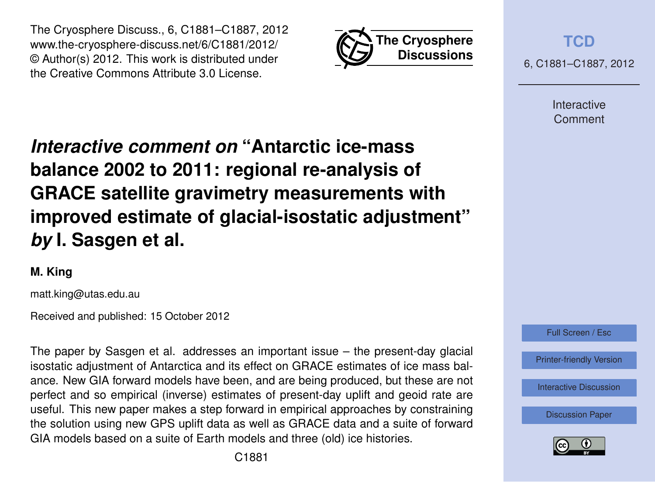



**[TCD](http://www.the-cryosphere-discuss.net)**

6, C1881–C1887, 2012

Interactive Comment

# *Interactive comment on* **"Antarctic ice-mass balance 2002 to 2011: regional re-analysis of GRACE satellite gravimetry measurements with improved estimate of glacial-isostatic adjustment"** *by* **I. Sasgen et al.**

## **M. King**

matt.king@utas.edu.au

Received and published: 15 October 2012

The paper by Sasgen et al. addresses an important issue – the present-day glacial isostatic adjustment of Antarctica and its effect on GRACE estimates of ice mass balance. New GIA forward models have been, and are being produced, but these are not perfect and so empirical (inverse) estimates of present-day uplift and geoid rate are useful. This new paper makes a step forward in empirical approaches by constraining the solution using new GPS uplift data as well as GRACE data and a suite of forward GIA models based on a suite of Earth models and three (old) ice histories.



[Printer-friendly Version](http://www.the-cryosphere-discuss.net/6/C1881/2012/tcd-6-C1881-2012-print.pdf)

[Interactive Discussion](http://www.the-cryosphere-discuss.net/6/3703/2012/tcd-6-3703-2012-discussion.html)

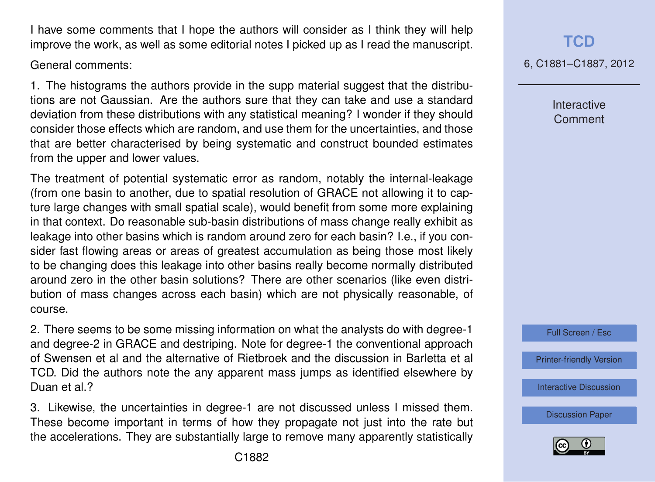I have some comments that I hope the authors will consider as I think they will help improve the work, as well as some editorial notes I picked up as I read the manuscript.

General comments:

1. The histograms the authors provide in the supp material suggest that the distributions are not Gaussian. Are the authors sure that they can take and use a standard deviation from these distributions with any statistical meaning? I wonder if they should consider those effects which are random, and use them for the uncertainties, and those that are better characterised by being systematic and construct bounded estimates from the upper and lower values.

The treatment of potential systematic error as random, notably the internal-leakage (from one basin to another, due to spatial resolution of GRACE not allowing it to capture large changes with small spatial scale), would benefit from some more explaining in that context. Do reasonable sub-basin distributions of mass change really exhibit as leakage into other basins which is random around zero for each basin? I.e., if you consider fast flowing areas or areas of greatest accumulation as being those most likely to be changing does this leakage into other basins really become normally distributed around zero in the other basin solutions? There are other scenarios (like even distribution of mass changes across each basin) which are not physically reasonable, of course.

2. There seems to be some missing information on what the analysts do with degree-1 and degree-2 in GRACE and destriping. Note for degree-1 the conventional approach of Swensen et al and the alternative of Rietbroek and the discussion in Barletta et al TCD. Did the authors note the any apparent mass jumps as identified elsewhere by Duan et al.?

3. Likewise, the uncertainties in degree-1 are not discussed unless I missed them. These become important in terms of how they propagate not just into the rate but the accelerations. They are substantially large to remove many apparently statistically

**[TCD](http://www.the-cryosphere-discuss.net)**

6, C1881–C1887, 2012

Interactive Comment

Full Screen / Esc

[Printer-friendly Version](http://www.the-cryosphere-discuss.net/6/C1881/2012/tcd-6-C1881-2012-print.pdf)

[Interactive Discussion](http://www.the-cryosphere-discuss.net/6/3703/2012/tcd-6-3703-2012-discussion.html)

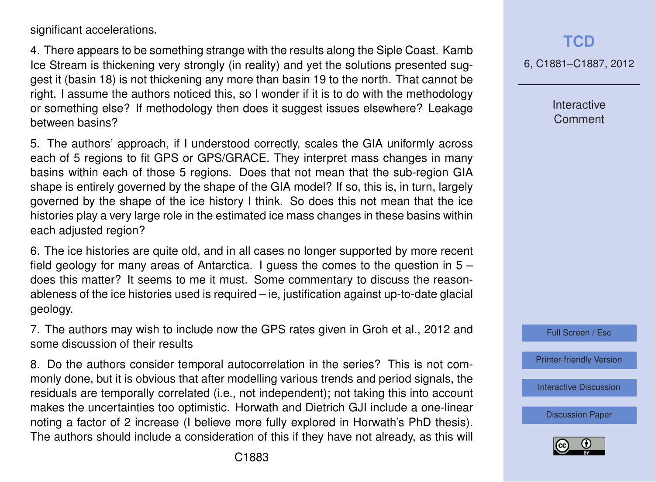significant accelerations.

4. There appears to be something strange with the results along the Siple Coast. Kamb Ice Stream is thickening very strongly (in reality) and yet the solutions presented suggest it (basin 18) is not thickening any more than basin 19 to the north. That cannot be right. I assume the authors noticed this, so I wonder if it is to do with the methodology or something else? If methodology then does it suggest issues elsewhere? Leakage between basins?

5. The authors' approach, if I understood correctly, scales the GIA uniformly across each of 5 regions to fit GPS or GPS/GRACE. They interpret mass changes in many basins within each of those 5 regions. Does that not mean that the sub-region GIA shape is entirely governed by the shape of the GIA model? If so, this is, in turn, largely governed by the shape of the ice history I think. So does this not mean that the ice histories play a very large role in the estimated ice mass changes in these basins within each adjusted region?

6. The ice histories are quite old, and in all cases no longer supported by more recent field geology for many areas of Antarctica. I guess the comes to the question in 5 – does this matter? It seems to me it must. Some commentary to discuss the reasonableness of the ice histories used is required – ie, justification against up-to-date glacial geology.

7. The authors may wish to include now the GPS rates given in Groh et al., 2012 and some discussion of their results

8. Do the authors consider temporal autocorrelation in the series? This is not commonly done, but it is obvious that after modelling various trends and period signals, the residuals are temporally correlated (i.e., not independent); not taking this into account makes the uncertainties too optimistic. Horwath and Dietrich GJI include a one-linear noting a factor of 2 increase (I believe more fully explored in Horwath's PhD thesis). The authors should include a consideration of this if they have not already, as this will 6, C1881–C1887, 2012

**Interactive Comment** 

Full Screen / Esc

[Printer-friendly Version](http://www.the-cryosphere-discuss.net/6/C1881/2012/tcd-6-C1881-2012-print.pdf)

[Interactive Discussion](http://www.the-cryosphere-discuss.net/6/3703/2012/tcd-6-3703-2012-discussion.html)

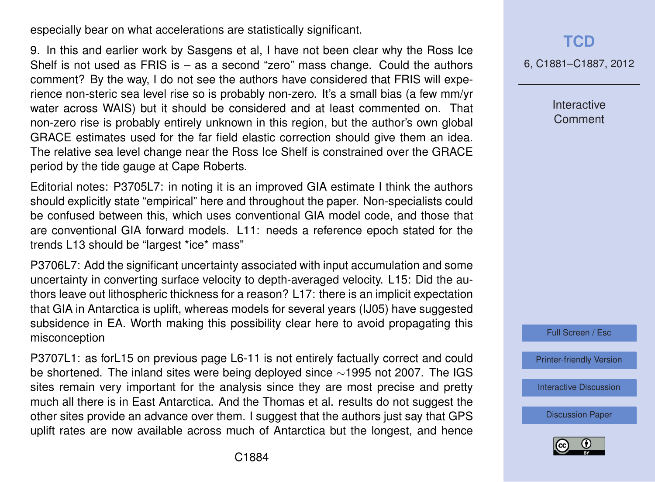especially bear on what accelerations are statistically significant.

9. In this and earlier work by Sasgens et al, I have not been clear why the Ross Ice Shelf is not used as FRIS is – as a second "zero" mass change. Could the authors comment? By the way, I do not see the authors have considered that FRIS will experience non-steric sea level rise so is probably non-zero. It's a small bias (a few mm/yr water across WAIS) but it should be considered and at least commented on. That non-zero rise is probably entirely unknown in this region, but the author's own global GRACE estimates used for the far field elastic correction should give them an idea. The relative sea level change near the Ross Ice Shelf is constrained over the GRACE period by the tide gauge at Cape Roberts.

Editorial notes: P3705L7: in noting it is an improved GIA estimate I think the authors should explicitly state "empirical" here and throughout the paper. Non-specialists could be confused between this, which uses conventional GIA model code, and those that are conventional GIA forward models. L11: needs a reference epoch stated for the trends L13 should be "largest \*ice\* mass"

P3706L7: Add the significant uncertainty associated with input accumulation and some uncertainty in converting surface velocity to depth-averaged velocity. L15: Did the authors leave out lithospheric thickness for a reason? L17: there is an implicit expectation that GIA in Antarctica is uplift, whereas models for several years (IJ05) have suggested subsidence in EA. Worth making this possibility clear here to avoid propagating this misconception

P3707L1: as forL15 on previous page L6-11 is not entirely factually correct and could be shortened. The inland sites were being deployed since ∼1995 not 2007. The IGS sites remain very important for the analysis since they are most precise and pretty much all there is in East Antarctica. And the Thomas et al. results do not suggest the other sites provide an advance over them. I suggest that the authors just say that GPS uplift rates are now available across much of Antarctica but the longest, and hence 6, C1881–C1887, 2012

**Interactive Comment** 

Full Screen / Esc

[Printer-friendly Version](http://www.the-cryosphere-discuss.net/6/C1881/2012/tcd-6-C1881-2012-print.pdf)

[Interactive Discussion](http://www.the-cryosphere-discuss.net/6/3703/2012/tcd-6-3703-2012-discussion.html)

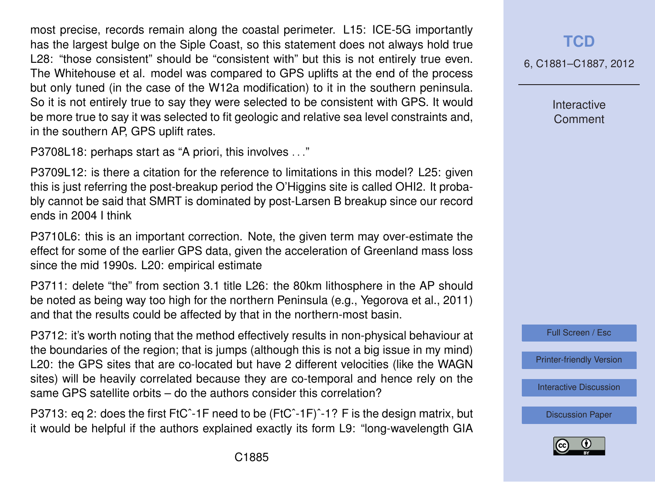most precise, records remain along the coastal perimeter. L15: ICE-5G importantly has the largest bulge on the Siple Coast, so this statement does not always hold true L28: "those consistent" should be "consistent with" but this is not entirely true even. The Whitehouse et al. model was compared to GPS uplifts at the end of the process but only tuned (in the case of the W12a modification) to it in the southern peninsula. So it is not entirely true to say they were selected to be consistent with GPS. It would be more true to say it was selected to fit geologic and relative sea level constraints and, in the southern AP, GPS uplift rates.

P3708L18: perhaps start as "A priori, this involves . . ."

P3709L12: is there a citation for the reference to limitations in this model? L25: given this is just referring the post-breakup period the O'Higgins site is called OHI2. It probably cannot be said that SMRT is dominated by post-Larsen B breakup since our record ends in 2004 I think

P3710L6: this is an important correction. Note, the given term may over-estimate the effect for some of the earlier GPS data, given the acceleration of Greenland mass loss since the mid 1990s. L20: empirical estimate

P3711: delete "the" from section 3.1 title L26: the 80km lithosphere in the AP should be noted as being way too high for the northern Peninsula (e.g., Yegorova et al., 2011) and that the results could be affected by that in the northern-most basin.

P3712: it's worth noting that the method effectively results in non-physical behaviour at the boundaries of the region; that is jumps (although this is not a big issue in my mind) L20: the GPS sites that are co-located but have 2 different velocities (like the WAGN sites) will be heavily correlated because they are co-temporal and hence rely on the same GPS satellite orbits – do the authors consider this correlation?

P3713: eq 2: does the first FtCˆ-1F need to be (FtCˆ-1F)ˆ-1? F is the design matrix, but it would be helpful if the authors explained exactly its form L9: "long-wavelength GIA

#### **[TCD](http://www.the-cryosphere-discuss.net)**

6, C1881–C1887, 2012

Interactive Comment



[Printer-friendly Version](http://www.the-cryosphere-discuss.net/6/C1881/2012/tcd-6-C1881-2012-print.pdf)

[Interactive Discussion](http://www.the-cryosphere-discuss.net/6/3703/2012/tcd-6-3703-2012-discussion.html)

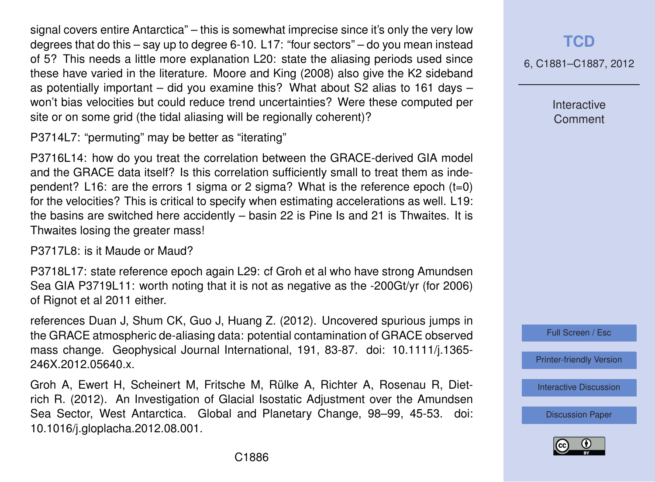signal covers entire Antarctica" – this is somewhat imprecise since it's only the very low degrees that do this – say up to degree 6-10. L17: "four sectors" – do you mean instead of 5? This needs a little more explanation L20: state the aliasing periods used since these have varied in the literature. Moore and King (2008) also give the K2 sideband as potentially important – did you examine this? What about S2 alias to 161 days – won't bias velocities but could reduce trend uncertainties? Were these computed per site or on some grid (the tidal aliasing will be regionally coherent)?

P3714L7: "permuting" may be better as "iterating"

P3716L14: how do you treat the correlation between the GRACE-derived GIA model and the GRACE data itself? Is this correlation sufficiently small to treat them as independent? L16: are the errors 1 sigma or 2 sigma? What is the reference epoch (t=0) for the velocities? This is critical to specify when estimating accelerations as well. L19: the basins are switched here accidently – basin 22 is Pine Is and 21 is Thwaites. It is Thwaites losing the greater mass!

P3717L8: is it Maude or Maud?

P3718L17: state reference epoch again L29: cf Groh et al who have strong Amundsen Sea GIA P3719L11: worth noting that it is not as negative as the -200Gt/yr (for 2006) of Rignot et al 2011 either.

references Duan J, Shum CK, Guo J, Huang Z. (2012). Uncovered spurious jumps in the GRACE atmospheric de-aliasing data: potential contamination of GRACE observed mass change. Geophysical Journal International, 191, 83-87. doi: 10.1111/j.1365- 246X.2012.05640.x.

Groh A, Ewert H, Scheinert M, Fritsche M, Rülke A, Richter A, Rosenau R, Dietrich R. (2012). An Investigation of Glacial Isostatic Adjustment over the Amundsen Sea Sector, West Antarctica. Global and Planetary Change, 98–99, 45-53. doi: 10.1016/j.gloplacha.2012.08.001.

### **[TCD](http://www.the-cryosphere-discuss.net)**

6, C1881–C1887, 2012

Interactive **Comment** 

Full Screen / Esc

[Printer-friendly Version](http://www.the-cryosphere-discuss.net/6/C1881/2012/tcd-6-C1881-2012-print.pdf)

[Interactive Discussion](http://www.the-cryosphere-discuss.net/6/3703/2012/tcd-6-3703-2012-discussion.html)